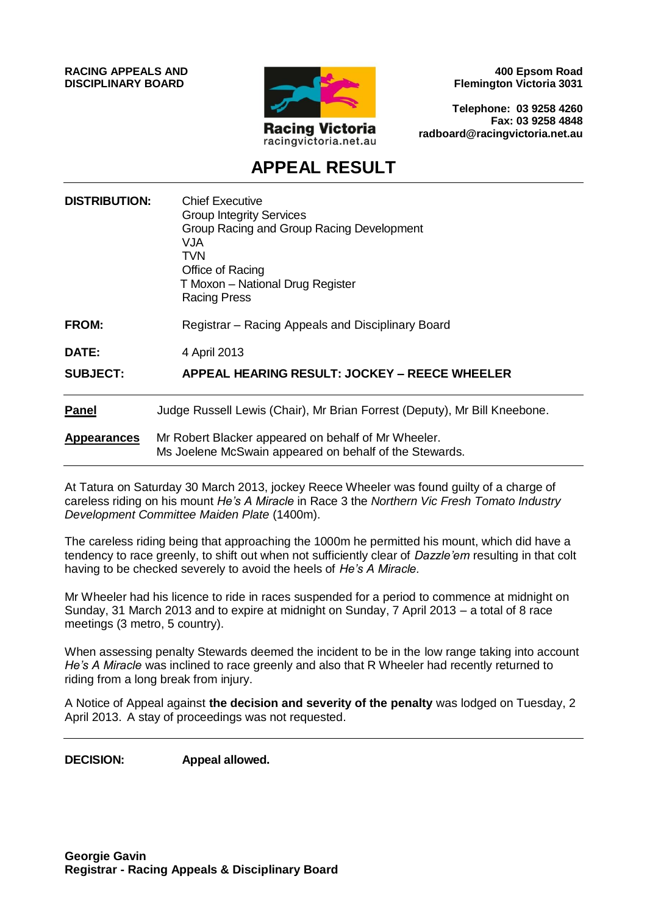**RACING APPEALS AND DISCIPLINARY BOARD**



**400 Epsom Road Flemington Victoria 3031**

**Telephone: 03 9258 4260 Fax: 03 9258 4848 radboard@racingvictoria.net.au**

# **APPEAL RESULT**

| <b>DISTRIBUTION:</b> | <b>Chief Executive</b><br><b>Group Integrity Services</b><br>Group Racing and Group Racing Development<br>VJA<br><b>TVN</b><br>Office of Racing<br>T Moxon - National Drug Register<br><b>Racing Press</b> |
|----------------------|------------------------------------------------------------------------------------------------------------------------------------------------------------------------------------------------------------|
| <b>FROM:</b>         | Registrar – Racing Appeals and Disciplinary Board                                                                                                                                                          |
| <b>DATE:</b>         | 4 April 2013                                                                                                                                                                                               |
| <b>SUBJECT:</b>      | <b>APPEAL HEARING RESULT: JOCKEY - REECE WHEELER</b>                                                                                                                                                       |
| <b>Panel</b>         | Judge Russell Lewis (Chair), Mr Brian Forrest (Deputy), Mr Bill Kneebone.                                                                                                                                  |
| <b>Appearances</b>   | Mr Robert Blacker appeared on behalf of Mr Wheeler.<br>Ms Joelene McSwain appeared on behalf of the Stewards.                                                                                              |

At Tatura on Saturday 30 March 2013, jockey Reece Wheeler was found guilty of a charge of careless riding on his mount *He's A Miracle* in Race 3 the *Northern Vic Fresh Tomato Industry Development Committee Maiden Plate* (1400m).

The careless riding being that approaching the 1000m he permitted his mount, which did have a tendency to race greenly, to shift out when not sufficiently clear of *Dazzle'em* resulting in that colt having to be checked severely to avoid the heels of *He's A Miracle.*

Mr Wheeler had his licence to ride in races suspended for a period to commence at midnight on Sunday, 31 March 2013 and to expire at midnight on Sunday, 7 April 2013 – a total of 8 race meetings (3 metro, 5 country).

When assessing penalty Stewards deemed the incident to be in the low range taking into account *He's A Miracle* was inclined to race greenly and also that R Wheeler had recently returned to riding from a long break from injury.

A Notice of Appeal against **the decision and severity of the penalty** was lodged on Tuesday, 2 April 2013. A stay of proceedings was not requested.

**DECISION: Appeal allowed.**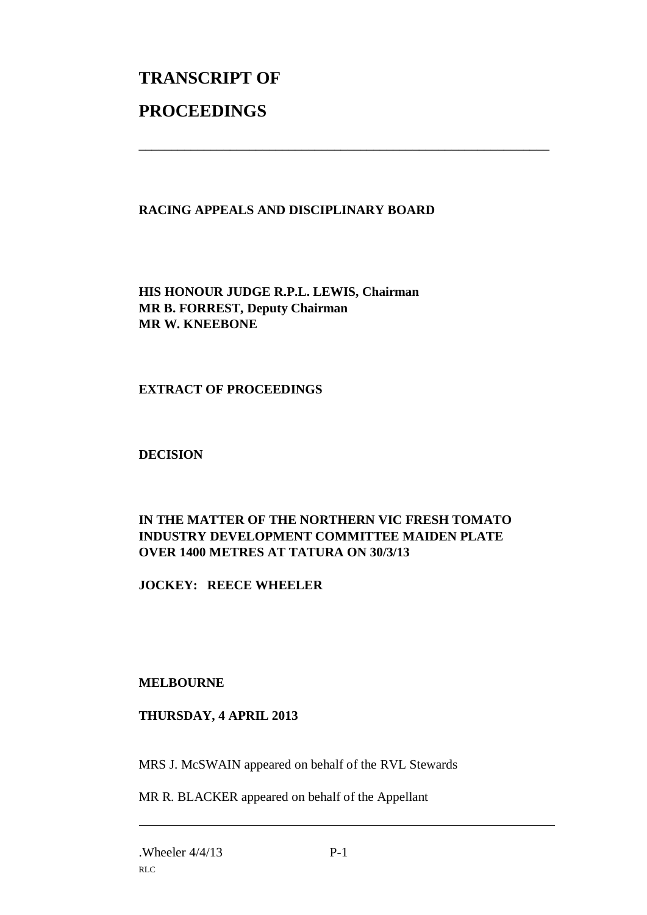# **TRANSCRIPT OF PROCEEDINGS**

# **RACING APPEALS AND DISCIPLINARY BOARD**

\_\_\_\_\_\_\_\_\_\_\_\_\_\_\_\_\_\_\_\_\_\_\_\_\_\_\_\_\_\_\_\_\_\_\_\_\_\_\_\_\_\_\_\_\_\_\_\_\_\_\_\_\_\_\_\_\_\_\_\_\_\_\_

**HIS HONOUR JUDGE R.P.L. LEWIS, Chairman MR B. FORREST, Deputy Chairman MR W. KNEEBONE**

#### **EXTRACT OF PROCEEDINGS**

**DECISION**

# **IN THE MATTER OF THE NORTHERN VIC FRESH TOMATO INDUSTRY DEVELOPMENT COMMITTEE MAIDEN PLATE OVER 1400 METRES AT TATURA ON 30/3/13**

**JOCKEY: REECE WHEELER**

# **MELBOURNE**

#### **THURSDAY, 4 APRIL 2013**

MRS J. McSWAIN appeared on behalf of the RVL Stewards

MR R. BLACKER appeared on behalf of the Appellant